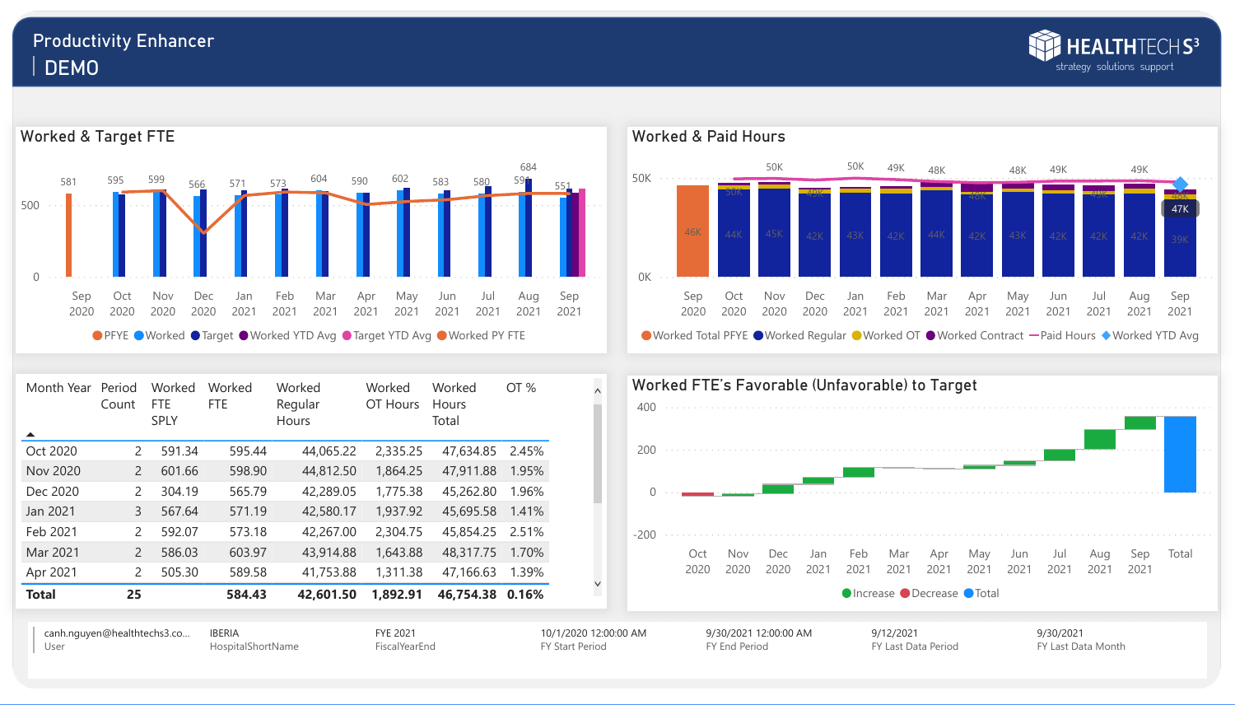



# Productivity Enhancer DEMO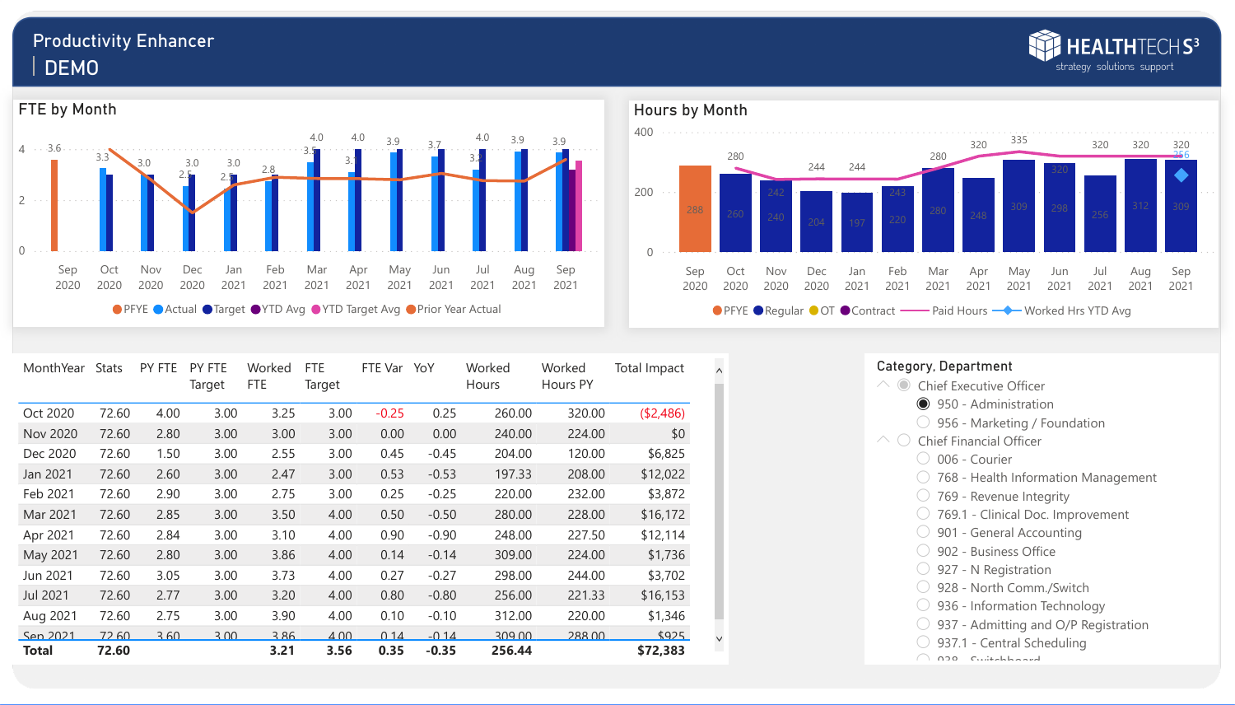### Category, Department

- $\wedge$   $\odot$  Chief Executive Officer
	- 950 Administration
	- 956 Marketing / Foundation
- $\wedge$   $\bigcirc$  Chief Financial Officer
	- O 006 Courier
	- 768 Health Information Management
	- 769 Revenue Integrity
	- 769.1 Clinical Doc. Improvement
	- 901 General Accounting
	- 902 Business Office
	- 927 N Registration
	- O 928 North Comm./Switch
	- 936 Information Technology
	- ◯ 937 Admitting and O/P Registration
	- 937.1 Central Scheduling
	- $\bigcap_{n=1}^{\infty}$



| MonthYear       | <b>Stats</b> | PY FTE | <b>PY FTE</b><br>Target | Worked<br><b>FTE</b> | <b>FTE</b><br>Target | FTE Var | YoY     | Worked<br><b>Hours</b> | Worked<br><b>Hours PY</b> | <b>Total Impact</b> |
|-----------------|--------------|--------|-------------------------|----------------------|----------------------|---------|---------|------------------------|---------------------------|---------------------|
| <b>Oct 2020</b> | 72.60        | 4.00   | 3.00                    | 3.25                 | 3.00                 | $-0.25$ | 0.25    | 260.00                 | 320.00                    | (\$2,486)           |
| <b>Nov 2020</b> | 72.60        | 2.80   | 3.00                    | 3.00                 | 3.00                 | 0.00    | 0.00    | 240.00                 | 224.00                    | \$0                 |
| Dec 2020        | 72.60        | 1.50   | 3.00                    | 2.55                 | 3.00                 | 0.45    | $-0.45$ | 204.00                 | 120.00                    | \$6,825             |
| <b>Jan 2021</b> | 72.60        | 2.60   | 3.00                    | 2.47                 | 3.00                 | 0.53    | $-0.53$ | 197.33                 | 208.00                    | \$12,022            |
| Feb 2021        | 72.60        | 2.90   | 3.00                    | 2.75                 | 3.00                 | 0.25    | $-0.25$ | 220.00                 | 232.00                    | \$3,872             |
| Mar 2021        | 72.60        | 2.85   | 3.00                    | 3.50                 | 4.00                 | 0.50    | $-0.50$ | 280.00                 | 228.00                    | \$16,172            |
| Apr 2021        | 72.60        | 2.84   | 3.00                    | 3.10                 | 4.00                 | 0.90    | $-0.90$ | 248.00                 | 227.50                    | \$12,114            |
| May 2021        | 72.60        | 2.80   | 3.00                    | 3.86                 | 4.00                 | 0.14    | $-0.14$ | 309.00                 | 224.00                    | \$1,736             |
| <b>Jun 2021</b> | 72.60        | 3.05   | 3.00                    | 3.73                 | 4.00                 | 0.27    | $-0.27$ | 298.00                 | 244.00                    | \$3,702             |
| <b>Jul 2021</b> | 72.60        | 2.77   | 3.00                    | 3.20                 | 4.00                 | 0.80    | $-0.80$ | 256.00                 | 221.33                    | \$16,153            |
| Aug 2021        | 72.60        | 2.75   | 3.00                    | 3.90                 | 4.00                 | 0.10    | $-0.10$ | 312.00                 | 220.00                    | \$1,346             |
| Sep 2021        | 72.60        | 3.60   | 3.00                    | 3.86                 | 4.00                 | 0.14    | $-0.14$ | 309.00                 | 288.00                    | \$925               |
| <b>Total</b>    | 72.60        |        |                         | 3.21                 | 3.56                 | 0.35    | $-0.35$ | 256.44                 |                           | \$72,383            |



## Productivity Enhancer DEMO